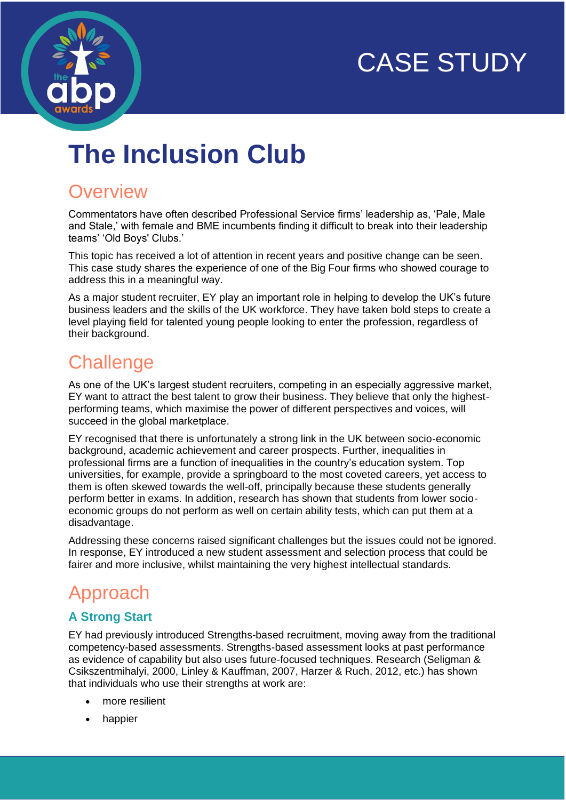



# **The Inclusion Club**

### **Overview**

Commentators have often described Professional Service firms' leadership as, 'Pale, Male and Stale,' with female and BME incumbents finding it difficult to break into their leadership teams' 'Old Boys' Clubs.'

This topic has received a lot of attention in recent years and positive change can be seen. This case study shares the experience of one of the Big Four firms who showed courage to address this in a meaningful way.

As a major student recruiter, EY play an important role in helping to develop the UK's future business leaders and the skills of the UK workforce. They have taken bold steps to create a level playing field for talented young people looking to enter the profession, regardless of their background.

### **Challenge**

As one of the UK's largest student recruiters, competing in an especially aggressive market, EY want to attract the best talent to grow their business. They believe that only the highestperforming teams, which maximise the power of different perspectives and voices, will succeed in the global marketplace.

EY recognised that there is unfortunately a strong link in the UK between socio-economic background, academic achievement and career prospects. Further, inequalities in professional firms are a function of inequalities in the country's education system. Top universities, for example, provide a springboard to the most coveted careers, yet access to them is often skewed towards the well-off, principally because these students generally perform better in exams. In addition, research has shown that students from lower socioeconomic groups do not perform as well on certain ability tests, which can put them at a disadvantage.

Addressing these concerns raised significant challenges but the issues could not be ignored. In response, EY introduced a new student assessment and selection process that could be fairer and more inclusive, whilst maintaining the very highest intellectual standards.

### Approach

#### **A Strong Start**

EY had previously introduced Strengths-based recruitment, moving away from the traditional competency-based assessments. Strengths-based assessment looks at past performance as evidence of capability but also uses future-focused techniques. Research (Seligman & Csikszentmihalyi, 2000, Linley & Kauffman, 2007, Harzer & Ruch, 2012, etc.) has shown that individuals who use their strengths at work are:

- more resilient
- happier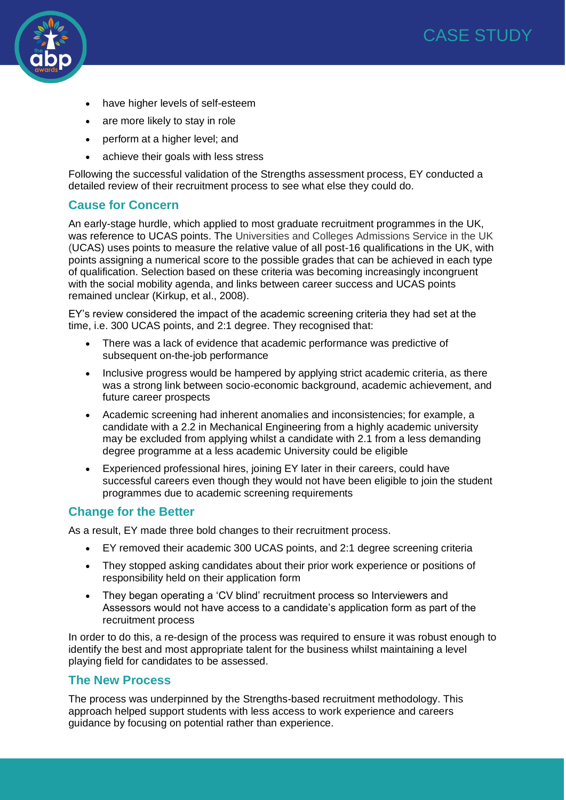



- have higher levels of self-esteem
- are more likely to stay in role
- perform at a higher level; and
- achieve their goals with less stress

Following the successful validation of the Strengths assessment process, EY conducted a detailed review of their recruitment process to see what else they could do.

#### **Cause for Concern**

An early-stage hurdle, which applied to most graduate recruitment programmes in the UK, was reference to UCAS points. The Universities and Colleges Admissions Service in the UK (UCAS) uses points to measure the relative value of all post-16 qualifications in the UK, with points assigning a numerical score to the possible grades that can be achieved in each type of qualification. Selection based on these criteria was becoming increasingly incongruent with the social mobility agenda, and links between career success and UCAS points remained unclear (Kirkup, et al., 2008).

EY's review considered the impact of the academic screening criteria they had set at the time, i.e. 300 UCAS points, and 2:1 degree. They recognised that:

- There was a lack of evidence that academic performance was predictive of subsequent on-the-job performance
- Inclusive progress would be hampered by applying strict academic criteria, as there was a strong link between socio-economic background, academic achievement, and future career prospects
- Academic screening had inherent anomalies and inconsistencies; for example, a candidate with a 2.2 in Mechanical Engineering from a highly academic university may be excluded from applying whilst a candidate with 2.1 from a less demanding degree programme at a less academic University could be eligible
- Experienced professional hires, joining EY later in their careers, could have successful careers even though they would not have been eligible to join the student programmes due to academic screening requirements

#### **Change for the Better**

As a result, EY made three bold changes to their recruitment process.

- EY removed their academic 300 UCAS points, and 2:1 degree screening criteria
- They stopped asking candidates about their prior work experience or positions of responsibility held on their application form
- They began operating a 'CV blind' recruitment process so Interviewers and Assessors would not have access to a candidate's application form as part of the recruitment process

In order to do this, a re-design of the process was required to ensure it was robust enough to identify the best and most appropriate talent for the business whilst maintaining a level playing field for candidates to be assessed.

#### **The New Process**

The process was underpinned by the Strengths-based recruitment methodology. This approach helped support students with less access to work experience and careers guidance by focusing on potential rather than experience.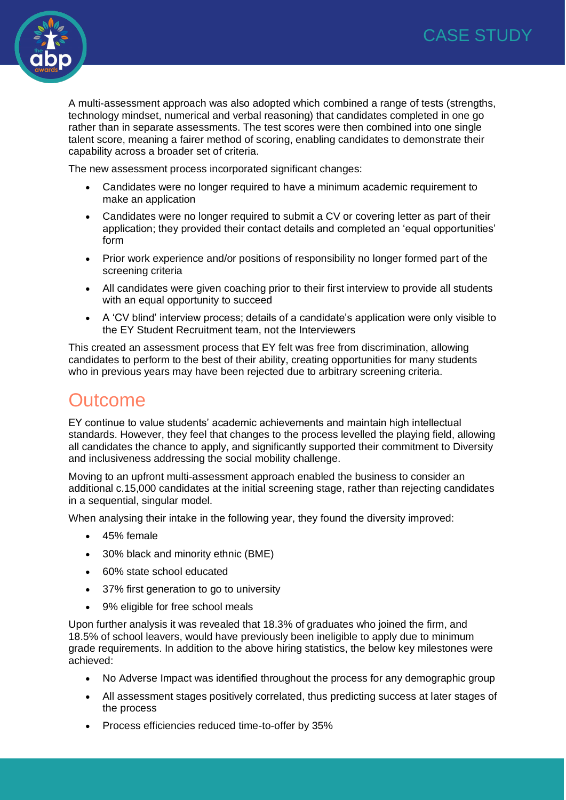

A multi-assessment approach was also adopted which combined a range of tests (strengths, technology mindset, numerical and verbal reasoning) that candidates completed in one go rather than in separate assessments. The test scores were then combined into one single talent score, meaning a fairer method of scoring, enabling candidates to demonstrate their capability across a broader set of criteria.

The new assessment process incorporated significant changes:

- Candidates were no longer required to have a minimum academic requirement to make an application
- Candidates were no longer required to submit a CV or covering letter as part of their application; they provided their contact details and completed an 'equal opportunities' form
- Prior work experience and/or positions of responsibility no longer formed part of the screening criteria
- All candidates were given coaching prior to their first interview to provide all students with an equal opportunity to succeed
- A 'CV blind' interview process; details of a candidate's application were only visible to the EY Student Recruitment team, not the Interviewers

This created an assessment process that EY felt was free from discrimination, allowing candidates to perform to the best of their ability, creating opportunities for many students who in previous years may have been rejected due to arbitrary screening criteria.

### **Outcome**

EY continue to value students' academic achievements and maintain high intellectual standards. However, they feel that changes to the process levelled the playing field, allowing all candidates the chance to apply, and significantly supported their commitment to Diversity and inclusiveness addressing the social mobility challenge.

Moving to an upfront multi-assessment approach enabled the business to consider an additional c.15,000 candidates at the initial screening stage, rather than rejecting candidates in a sequential, singular model.

When analysing their intake in the following year, they found the diversity improved:

- 45% female
- 30% black and minority ethnic (BME)
- 60% state school educated
- 37% first generation to go to university
- 9% eligible for free school meals

Upon further analysis it was revealed that 18.3% of graduates who joined the firm, and 18.5% of school leavers, would have previously been ineligible to apply due to minimum grade requirements. In addition to the above hiring statistics, the below key milestones were achieved:

- No Adverse Impact was identified throughout the process for any demographic group
- All assessment stages positively correlated, thus predicting success at later stages of the process
- Process efficiencies reduced time-to-offer by 35%